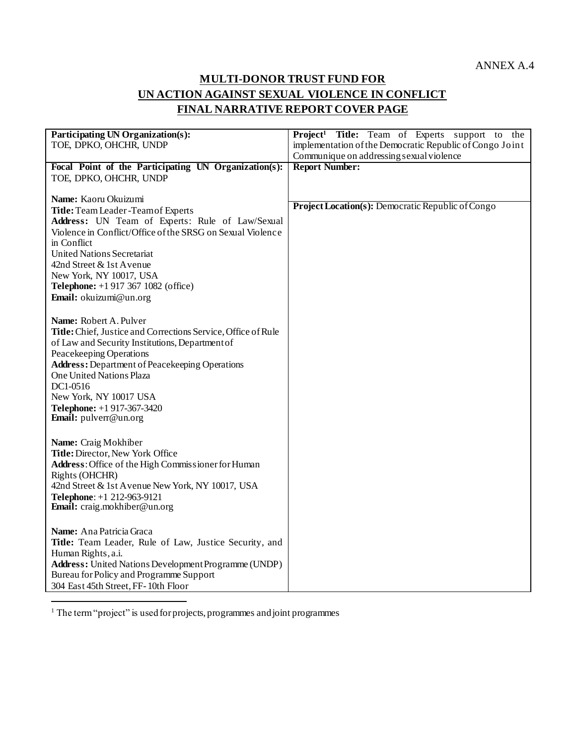ANNEX A.4

# **MULTI-DONOR TRUST FUND FOR UN ACTION AGAINST SEXUAL VIOLENCE IN CONFLICT FINAL NARRATIVE REPORT COVER PAGE**

| Participating UN Organization(s):                             | Project <sup>1</sup> Title: Team of Experts support to the |
|---------------------------------------------------------------|------------------------------------------------------------|
| TOE, DPKO, OHCHR, UNDP                                        | implementation of the Democratic Republic of Congo Joint   |
|                                                               | Communique on addressing sexual violence                   |
| Focal Point of the Participating UN Organization(s):          | <b>Report Number:</b>                                      |
| TOE, DPKO, OHCHR, UNDP                                        |                                                            |
|                                                               |                                                            |
| Name: Kaoru Okuizumi                                          |                                                            |
| Title: Team Leader - Team of Experts                          | Project Location(s): Democratic Republic of Congo          |
| Address: UN Team of Experts: Rule of Law/Sexual               |                                                            |
| Violence in Conflict/Office of the SRSG on Sexual Violence    |                                                            |
| in Conflict                                                   |                                                            |
| <b>United Nations Secretariat</b>                             |                                                            |
| 42nd Street & 1st Avenue                                      |                                                            |
| New York, NY 10017, USA                                       |                                                            |
| <b>Telephone:</b> +1 917 367 1082 (office)                    |                                                            |
| Email: okuizumi@un.org                                        |                                                            |
|                                                               |                                                            |
| Name: Robert A. Pulver                                        |                                                            |
| Title: Chief, Justice and Corrections Service, Office of Rule |                                                            |
| of Law and Security Institutions, Department of               |                                                            |
| Peacekeeping Operations                                       |                                                            |
| <b>Address:</b> Department of Peacekeeping Operations         |                                                            |
| One United Nations Plaza                                      |                                                            |
| DC1-0516                                                      |                                                            |
| New York, NY 10017 USA                                        |                                                            |
| Telephone: +1 917-367-3420                                    |                                                            |
| Email: pulverr@un.org                                         |                                                            |
|                                                               |                                                            |
| Name: Craig Mokhiber                                          |                                                            |
| Title: Director, New York Office                              |                                                            |
| Address: Office of the High Commissioner for Human            |                                                            |
| Rights (OHCHR)                                                |                                                            |
| 42nd Street & 1st Avenue New York, NY 10017, USA              |                                                            |
| Telephone: +1 212-963-9121                                    |                                                            |
| Email: craig.mokhiber@un.org                                  |                                                            |
|                                                               |                                                            |
| Name: Ana Patricia Graca                                      |                                                            |
| Title: Team Leader, Rule of Law, Justice Security, and        |                                                            |
| Human Rights, a.i.                                            |                                                            |
| Address: United Nations Development Programme (UNDP)          |                                                            |
| Bureau for Policy and Programme Support                       |                                                            |
| 304 East 45th Street, FF-10th Floor                           |                                                            |

 $<sup>1</sup>$  The term "project" is used for projects, programmes and joint programmes</sup>

j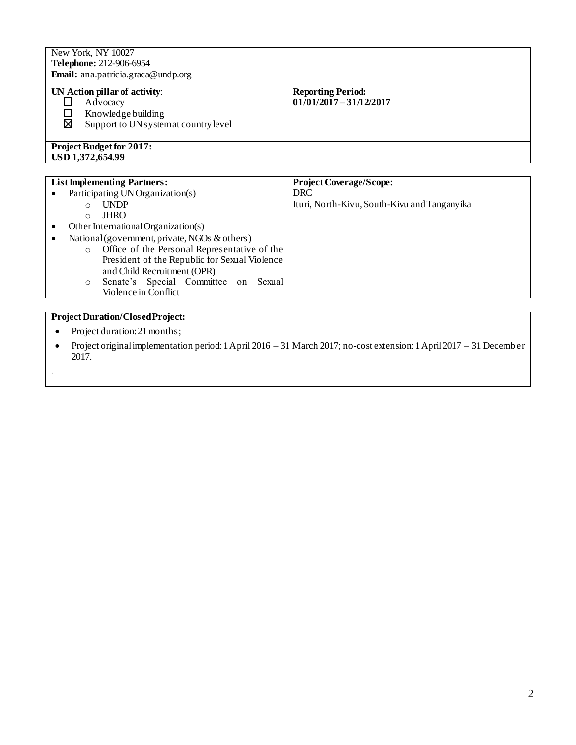| New York, NY 10027<br>Telephone: 212-906-6954<br>Email: ana.patricia.graca@undp.org                          |                                                       |
|--------------------------------------------------------------------------------------------------------------|-------------------------------------------------------|
| UN Action pillar of activity:<br>Advocacy<br>Knowledge building<br>⊠<br>Support to UN systemat country level | <b>Reporting Period:</b><br>$01/01/2017 - 31/12/2017$ |
| <b>Project Budget for 2017:</b><br>USD 1,372,654.99                                                          |                                                       |

|   | <b>List Implementing Partners:</b>                      | <b>Project Coverage/Scope:</b>               |
|---|---------------------------------------------------------|----------------------------------------------|
|   | Participating UN Organization(s)                        | <b>DRC</b>                                   |
|   | <b>UNDP</b><br>O                                        | Ituri, North-Kivu, South-Kivu and Tanganyika |
|   | <b>JHRO</b><br>$\circ$                                  |                                              |
|   | Other International Organization(s)                     |                                              |
| ٠ | National (government, private, NGOs & others)           |                                              |
|   | Office of the Personal Representative of the<br>$\circ$ |                                              |
|   | President of the Republic for Sexual Violence           |                                              |
|   | and Child Recruitment (OPR)                             |                                              |
|   | Senate's Special Committee on<br>Sexual<br>O            |                                              |
|   | Violence in Conflict                                    |                                              |
|   |                                                         |                                              |

# **Project Duration/Closed Project:**

• Project duration: 21 months;

.

 Project original implementation period: 1 April 2016 – 31 March 2017; no-cost extension: 1 April 2017 – 31 December 2017.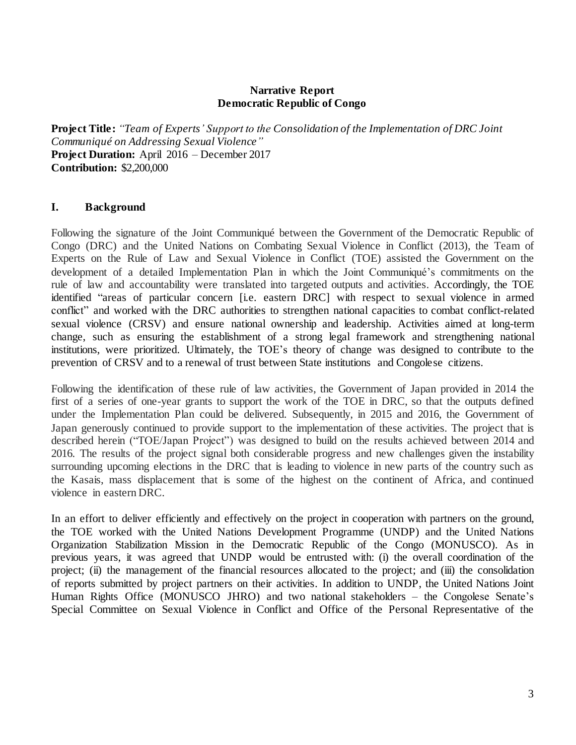#### **Narrative Report Democratic Republic of Congo**

**Project Title:** *"Team of Experts' Support to the Consolidation of the Implementation of DRC Joint Communiqué on Addressing Sexual Violence"* **Project Duration:** April 2016 – December 2017 **Contribution:** \$2,200,000

#### **I. Background**

Following the signature of the Joint Communiqué between the Government of the Democratic Republic of Congo (DRC) and the United Nations on Combating Sexual Violence in Conflict (2013), the Team of Experts on the Rule of Law and Sexual Violence in Conflict (TOE) assisted the Government on the development of a detailed Implementation Plan in which the Joint Communiqué's commitments on the rule of law and accountability were translated into targeted outputs and activities. Accordingly, the TOE identified "areas of particular concern [i.e. eastern DRC] with respect to sexual violence in armed conflict" and worked with the DRC authorities to strengthen national capacities to combat conflict-related sexual violence (CRSV) and ensure national ownership and leadership. Activities aimed at long-term change, such as ensuring the establishment of a strong legal framework and strengthening national institutions, were prioritized. Ultimately, the TOE's theory of change was designed to contribute to the prevention of CRSV and to a renewal of trust between State institutions and Congolese citizens.

Following the identification of these rule of law activities, the Government of Japan provided in 2014 the first of a series of one-year grants to support the work of the TOE in DRC, so that the outputs defined under the Implementation Plan could be delivered. Subsequently, in 2015 and 2016, the Government of Japan generously continued to provide support to the implementation of these activities. The project that is described herein ("TOE/Japan Project") was designed to build on the results achieved between 2014 and 2016. The results of the project signal both considerable progress and new challenges given the instability surrounding upcoming elections in the DRC that is leading to violence in new parts of the country such as the Kasais, mass displacement that is some of the highest on the continent of Africa, and continued violence in eastern DRC.

In an effort to deliver efficiently and effectively on the project in cooperation with partners on the ground, the TOE worked with the United Nations Development Programme (UNDP) and the United Nations Organization Stabilization Mission in the Democratic Republic of the Congo (MONUSCO). As in previous years, it was agreed that UNDP would be entrusted with: (i) the overall coordination of the project; (ii) the management of the financial resources allocated to the project; and (iii) the consolidation of reports submitted by project partners on their activities. In addition to UNDP, the United Nations Joint Human Rights Office (MONUSCO JHRO) and two national stakeholders – the Congolese Senate's Special Committee on Sexual Violence in Conflict and Office of the Personal Representative of the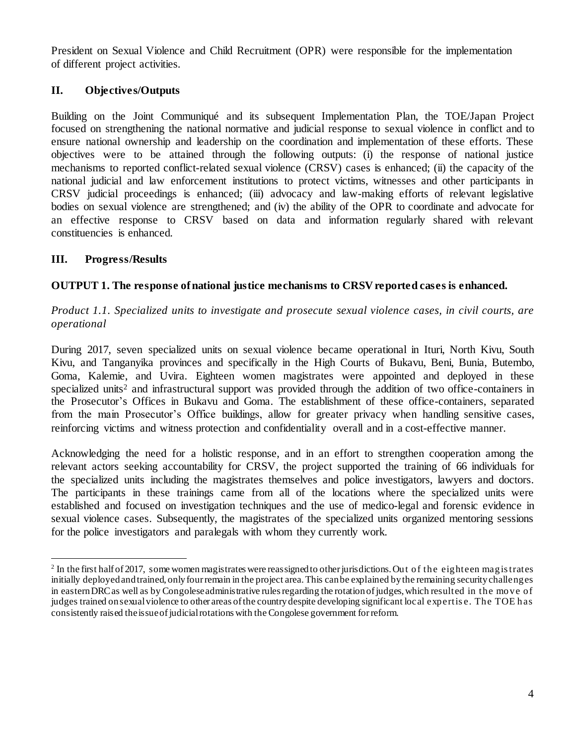President on Sexual Violence and Child Recruitment (OPR) were responsible for the implementation of different project activities.

# **II. Objectives/Outputs**

Building on the Joint Communiqué and its subsequent Implementation Plan, the TOE/Japan Project focused on strengthening the national normative and judicial response to sexual violence in conflict and to ensure national ownership and leadership on the coordination and implementation of these efforts. These objectives were to be attained through the following outputs: (i) the response of national justice mechanisms to reported conflict-related sexual violence (CRSV) cases is enhanced; (ii) the capacity of the national judicial and law enforcement institutions to protect victims, witnesses and other participants in CRSV judicial proceedings is enhanced; (iii) advocacy and law-making efforts of relevant legislative bodies on sexual violence are strengthened; and (iv) the ability of the OPR to coordinate and advocate for an effective response to CRSV based on data and information regularly shared with relevant constituencies is enhanced.

# **III. Progress/Results**

# **OUTPUT 1. The response of national justice mechanisms to CRSV reported cases is enhanced.**

# *Product 1.1. Specialized units to investigate and prosecute sexual violence cases, in civil courts, are operational*

During 2017, seven specialized units on sexual violence became operational in Ituri, North Kivu, South Kivu, and Tanganyika provinces and specifically in the High Courts of Bukavu, Beni, Bunia, Butembo, Goma, Kalemie, and Uvira. Eighteen women magistrates were appointed and deployed in these specialized units<sup>2</sup> and infrastructural support was provided through the addition of two office-containers in the Prosecutor's Offices in Bukavu and Goma. The establishment of these office-containers, separated from the main Prosecutor's Office buildings, allow for greater privacy when handling sensitive cases, reinforcing victims and witness protection and confidentiality overall and in a cost-effective manner.

Acknowledging the need for a holistic response, and in an effort to strengthen cooperation among the relevant actors seeking accountability for CRSV, the project supported the training of 66 individuals for the specialized units including the magistrates themselves and police investigators, lawyers and doctors. The participants in these trainings came from all of the locations where the specialized units were established and focused on investigation techniques and the use of medico-legal and forensic evidence in sexual violence cases. Subsequently, the magistrates of the specialized units organized mentoring sessions for the police investigators and paralegals with whom they currently work.

l  $2^2$  In the first half of 2017, some women magistrates were reassigned to other jurisdictions. Out of the eighteen magis trates initially deployed and trained, only four remain in the project area. This can be explained by the remaining security challenges in eastern DRC as well as by Congolese administrative rules regarding the rotation of judges, which resulted in the move of judges trained on sexual violence to other areas of the country despite developing significant local expertis e. The TOE has consistently raised the issue of judicial rotations with the Congolese government for reform.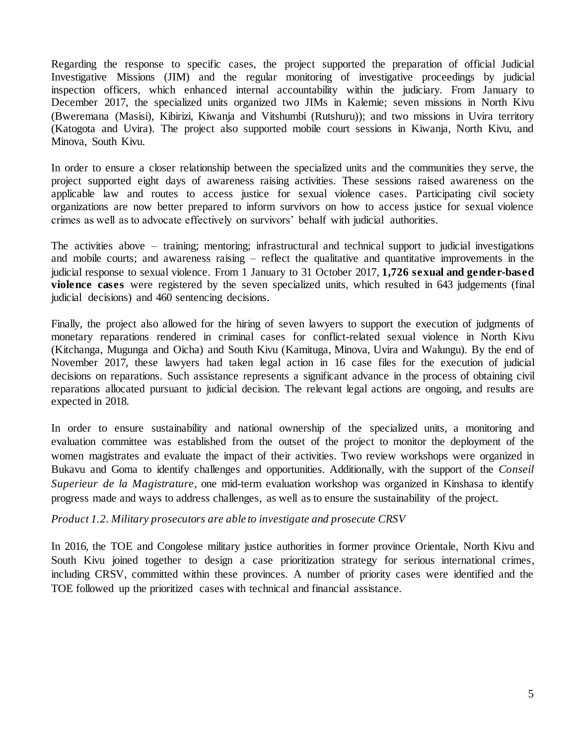Regarding the response to specific cases, the project supported the preparation of official Judicial Investigative Missions (JIM) and the regular monitoring of investigative proceedings by judicial inspection officers, which enhanced internal accountability within the judiciary. From January to December 2017, the specialized units organized two JIMs in Kalemie; seven missions in North Kivu (Bweremana (Masisi), Kibirizi, Kiwanja and Vitshumbi (Rutshuru)); and two missions in Uvira territory (Katogota and Uvira). The project also supported mobile court sessions in Kiwanja, North Kivu, and Minova, South Kivu.

In order to ensure a closer relationship between the specialized units and the communities they serve, the project supported eight days of awareness raising activities. These sessions raised awareness on the applicable law and routes to access justice for sexual violence cases. Participating civil society organizations are now better prepared to inform survivors on how to access justice for sexual violence crimes as well as to advocate effectively on survivors' behalf with judicial authorities.

The activities above – training; mentoring; infrastructural and technical support to judicial investigations and mobile courts; and awareness raising – reflect the qualitative and quantitative improvements in the judicial response to sexual violence. From 1 January to 31 October 2017, **1,726 sexual and gender-based violence cases** were registered by the seven specialized units, which resulted in 643 judgements (final judicial decisions) and 460 sentencing decisions.

Finally, the project also allowed for the hiring of seven lawyers to support the execution of judgments of monetary reparations rendered in criminal cases for conflict-related sexual violence in North Kivu (Kitchanga, Mugunga and Oicha) and South Kivu (Kamituga, Minova, Uvira and Walungu). By the end of November 2017, these lawyers had taken legal action in 16 case files for the execution of judicial decisions on reparations. Such assistance represents a significant advance in the process of obtaining civil reparations allocated pursuant to judicial decision. The relevant legal actions are ongoing, and results are expected in 2018.

In order to ensure sustainability and national ownership of the specialized units, a monitoring and evaluation committee was established from the outset of the project to monitor the deployment of the women magistrates and evaluate the impact of their activities. Two review workshops were organized in Bukavu and Goma to identify challenges and opportunities. Additionally, with the support of the *Conseil Superieur de la Magistrature*, one mid-term evaluation workshop was organized in Kinshasa to identify progress made and ways to address challenges, as well as to ensure the sustainability of the project.

*Product 1.2. Military prosecutors are able to investigate and prosecute CRSV*

In 2016, the TOE and Congolese military justice authorities in former province Orientale, North Kivu and South Kivu joined together to design a case prioritization strategy for serious international crimes, including CRSV, committed within these provinces. A number of priority cases were identified and the TOE followed up the prioritized cases with technical and financial assistance.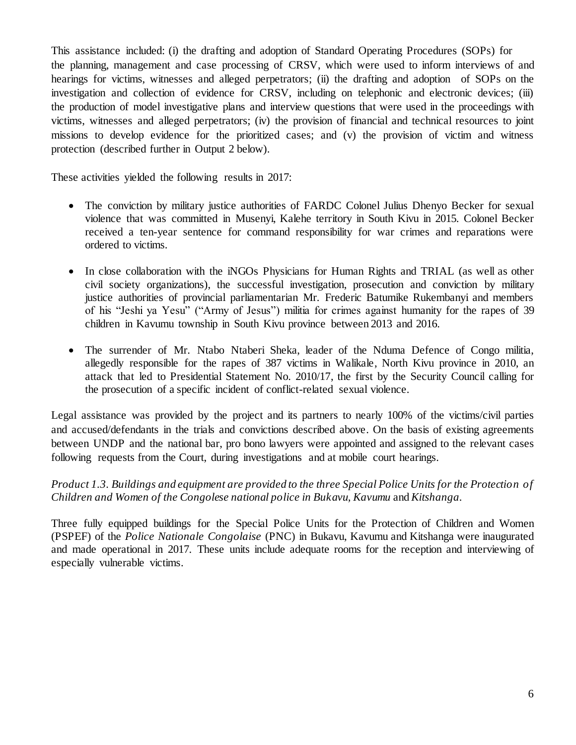This assistance included: (i) the drafting and adoption of Standard Operating Procedures (SOPs) for the planning, management and case processing of CRSV, which were used to inform interviews of and hearings for victims, witnesses and alleged perpetrators; (ii) the drafting and adoption of SOPs on the investigation and collection of evidence for CRSV, including on telephonic and electronic devices; (iii) the production of model investigative plans and interview questions that were used in the proceedings with victims, witnesses and alleged perpetrators; (iv) the provision of financial and technical resources to joint missions to develop evidence for the prioritized cases; and (v) the provision of victim and witness protection (described further in Output 2 below).

These activities yielded the following results in 2017:

- The conviction by military justice authorities of FARDC Colonel Julius Dhenyo Becker for sexual violence that was committed in Musenyi, Kalehe territory in South Kivu in 2015. Colonel Becker received a ten-year sentence for command responsibility for war crimes and reparations were ordered to victims.
- In close collaboration with the iNGOs Physicians for Human Rights and TRIAL (as well as other civil society organizations), the successful investigation, prosecution and conviction by military justice authorities of provincial parliamentarian Mr. Frederic Batumike Rukembanyi and members of his "Jeshi ya Yesu" ("Army of Jesus") militia for crimes against humanity for the rapes of 39 children in Kavumu township in South Kivu province between 2013 and 2016.
- The surrender of Mr. Ntabo Ntaberi Sheka, leader of the Nduma Defence of Congo militia, allegedly responsible for the rapes of 387 victims in Walikale, North Kivu province in 2010, an attack that led to Presidential Statement No. 2010/17, the first by the Security Council calling for the prosecution of a specific incident of conflict-related sexual violence.

Legal assistance was provided by the project and its partners to nearly 100% of the victims/civil parties and accused/defendants in the trials and convictions described above. On the basis of existing agreements between UNDP and the national bar, pro bono lawyers were appointed and assigned to the relevant cases following requests from the Court, during investigations and at mobile court hearings.

# *Product 1.3. Buildings and equipment are provided to the three Special Police Units for the Protection of Children and Women of the Congolese national police in Bukavu, Kavumu* and *Kitshanga.*

Three fully equipped buildings for the Special Police Units for the Protection of Children and Women (PSPEF) of the *Police Nationale Congolaise* (PNC) in Bukavu, Kavumu and Kitshanga were inaugurated and made operational in 2017. These units include adequate rooms for the reception and interviewing of especially vulnerable victims.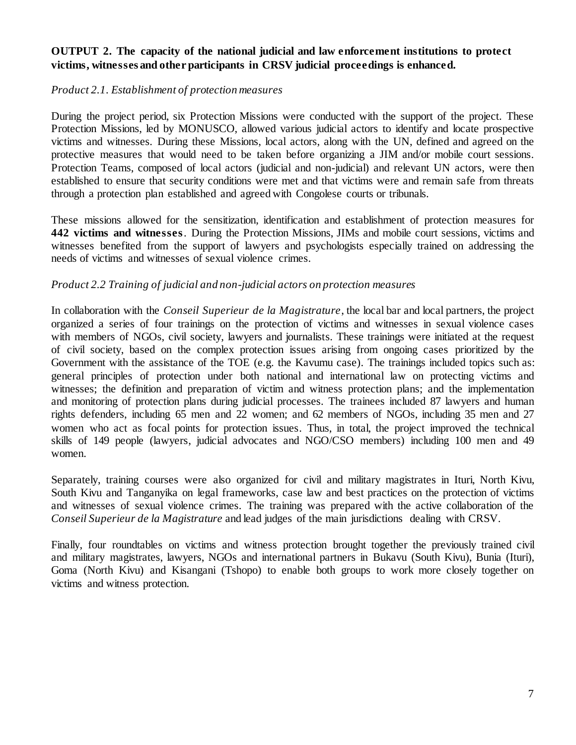#### **OUTPUT 2. The capacity of the national judicial and law enforcement institutions to protect victims, witnesses and other participants in CRSV judicial proceedings is enhanced.**

#### *Product 2.1. Establishment of protection measures*

During the project period, six Protection Missions were conducted with the support of the project. These Protection Missions, led by MONUSCO, allowed various judicial actors to identify and locate prospective victims and witnesses. During these Missions, local actors, along with the UN, defined and agreed on the protective measures that would need to be taken before organizing a JIM and/or mobile court sessions. Protection Teams, composed of local actors (judicial and non-judicial) and relevant UN actors, were then established to ensure that security conditions were met and that victims were and remain safe from threats through a protection plan established and agreed with Congolese courts or tribunals.

These missions allowed for the sensitization, identification and establishment of protection measures for **442 victims and witnesses**. During the Protection Missions, JIMs and mobile court sessions, victims and witnesses benefited from the support of lawyers and psychologists especially trained on addressing the needs of victims and witnesses of sexual violence crimes.

#### *Product 2.2 Training of judicial and non-judicial actors on protection measures*

In collaboration with the *Conseil Superieur de la Magistrature*, the local bar and local partners, the project organized a series of four trainings on the protection of victims and witnesses in sexual violence cases with members of NGOs, civil society, lawyers and journalists. These trainings were initiated at the request of civil society, based on the complex protection issues arising from ongoing cases prioritized by the Government with the assistance of the TOE (e.g. the Kavumu case). The trainings included topics such as: general principles of protection under both national and international law on protecting victims and witnesses; the definition and preparation of victim and witness protection plans; and the implementation and monitoring of protection plans during judicial processes. The trainees included 87 lawyers and human rights defenders, including 65 men and 22 women; and 62 members of NGOs, including 35 men and 27 women who act as focal points for protection issues. Thus, in total, the project improved the technical skills of 149 people (lawyers, judicial advocates and NGO/CSO members) including 100 men and 49 women.

Separately, training courses were also organized for civil and military magistrates in Ituri, North Kivu, South Kivu and Tanganyika on legal frameworks, case law and best practices on the protection of victims and witnesses of sexual violence crimes. The training was prepared with the active collaboration of the *Conseil Superieur de la Magistrature* and lead judges of the main jurisdictions dealing with CRSV.

Finally, four roundtables on victims and witness protection brought together the previously trained civil and military magistrates, lawyers, NGOs and international partners in Bukavu (South Kivu), Bunia (Ituri), Goma (North Kivu) and Kisangani (Tshopo) to enable both groups to work more closely together on victims and witness protection.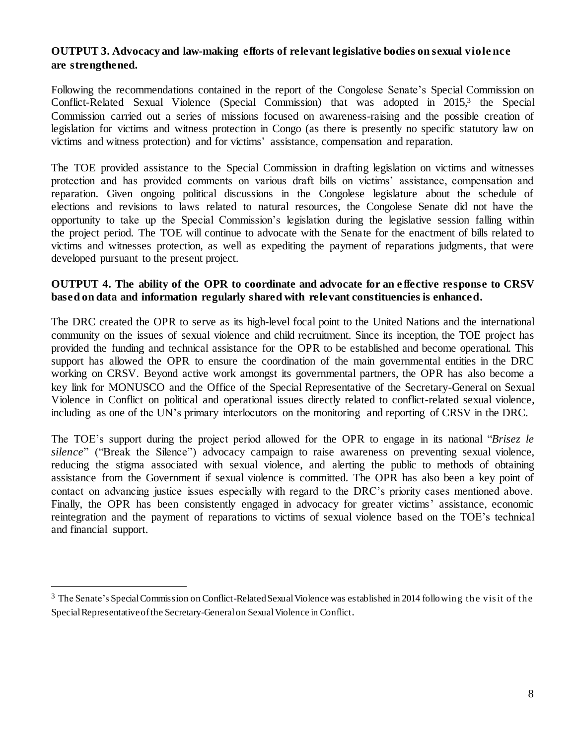#### **OUTPUT 3. Advocacy and law-making efforts of relevant legislative bodies on sexual viole nce are strengthened.**

Following the recommendations contained in the report of the Congolese Senate's Special Commission on Conflict-Related Sexual Violence (Special Commission) that was adopted in 2015, 3 the Special Commission carried out a series of missions focused on awareness-raising and the possible creation of legislation for victims and witness protection in Congo (as there is presently no specific statutory law on victims and witness protection) and for victims' assistance, compensation and reparation.

The TOE provided assistance to the Special Commission in drafting legislation on victims and witnesses protection and has provided comments on various draft bills on victims' assistance, compensation and reparation. Given ongoing political discussions in the Congolese legislature about the schedule of elections and revisions to laws related to natural resources, the Congolese Senate did not have the opportunity to take up the Special Commission's legislation during the legislative session falling within the project period. The TOE will continue to advocate with the Senate for the enactment of bills related to victims and witnesses protection, as well as expediting the payment of reparations judgments, that were developed pursuant to the present project.

#### **OUTPUT 4. The ability of the OPR to coordinate and advocate for an e ffective response to CRSV based on data and information regularly shared with relevant constituencies is enhanced.**

The DRC created the OPR to serve as its high-level focal point to the United Nations and the international community on the issues of sexual violence and child recruitment. Since its inception, the TOE project has provided the funding and technical assistance for the OPR to be established and become operational. This support has allowed the OPR to ensure the coordination of the main governmental entities in the DRC working on CRSV. Beyond active work amongst its governmental partners, the OPR has also become a key link for MONUSCO and the Office of the Special Representative of the Secretary-General on Sexual Violence in Conflict on political and operational issues directly related to conflict-related sexual violence, including as one of the UN's primary interlocutors on the monitoring and reporting of CRSV in the DRC.

The TOE's support during the project period allowed for the OPR to engage in its national "*Brisez le silence*" ("Break the Silence") advocacy campaign to raise awareness on preventing sexual violence, reducing the stigma associated with sexual violence, and alerting the public to methods of obtaining assistance from the Government if sexual violence is committed. The OPR has also been a key point of contact on advancing justice issues especially with regard to the DRC's priority cases mentioned above. Finally, the OPR has been consistently engaged in advocacy for greater victims' assistance, economic reintegration and the payment of reparations to victims of sexual violence based on the TOE's technical and financial support.

l

<sup>3</sup> The Senate's Special Commission on Conflict-Related Sexual Violence was established in 2014 following the vis it of the Special Representative of the Secretary-General on Sexual Violence in Conflict.